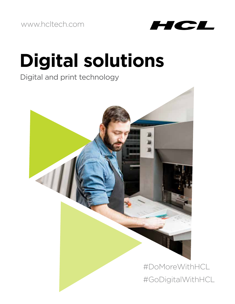www.hcltech.com



# **Digital solutions**

Digital and print technology

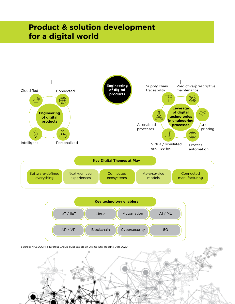## **Product & solution development for a digital world**

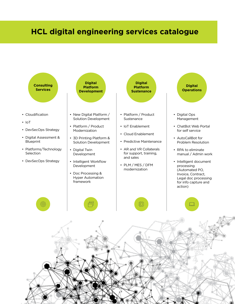### **HCL digital engineering services catalogue**

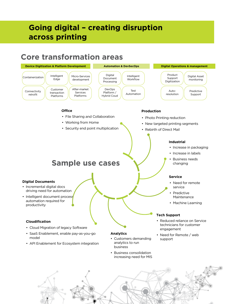### **Going digital – creating disruption across printing**

### **Core transformation areas**

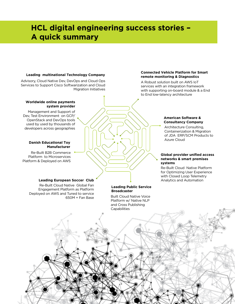### **HCL digital engineering success stories – A quick summary**

#### **Leading multinational Technology Company**

Advisory, Cloud Native Dev, DevOps and Cloud Ops Services to Support Cisco Softwarization and Cloud Migration Initiatives

#### **Worldwide online payments system provider**

Management and Support of Dev, Test Environment on GCP/ OpenStack and DevOps tools used by used by thousands of developers across geographies

#### **Danish Educational Toy Manufacturer**

Re-Built B2B Commerce Platform to Microservices Platform & Deployed on AWS

#### **Leading European Soccer Club**

Re-Built Cloud Native Global Fan Engagement Platform as Platform Deployed on AWS and Tuned to service 650M + Fan Base

### **Leading Public Service**

#### **Connected Vehicle Platform for Smart remote monitoring & Diagnostics**

A Robust solution built on AWS IoT services with an integration framework with supporting on-board module & a End to End low-latency architecture

#### **American Software & Consultancy Company**

Architecture Consulting, Containerization & Migration of JDA ERP/SCM Products to Azure Cloud

#### **Global provider unified access networks & smart premises systems**

Re-Built Cloud Native Platform for Optimizing User Experience with Closed Loop Telemetry Analytics and Automation

### Built Cloud Native Voice Platform w/ Native NLP **Broadcaster**